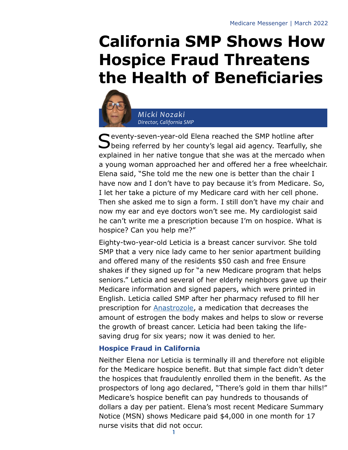# **California SMP Shows How Hospice Fraud Threatens the Health of Beneficiaries**



*Micki Nozaki Director, California SMP*

Seventy-seven-year-old Elena reached the SMP hotline after<br>Seeing referred by her county's legal aid agency. Tearfully, she explained in her native tongue that she was at the mercado when a young woman approached her and offered her a free wheelchair. Elena said, "She told me the new one is better than the chair I have now and I don't have to pay because it's from Medicare. So, I let her take a picture of my Medicare card with her cell phone. Then she asked me to sign a form. I still don't have my chair and now my ear and eye doctors won't see me. My cardiologist said he can't write me a prescription because I'm on hospice. What is hospice? Can you help me?"

Eighty-two-year-old Leticia is a breast cancer survivor. She told SMP that a very nice lady came to her senior apartment building and offered many of the residents \$50 cash and free Ensure shakes if they signed up for "a new Medicare program that helps seniors." Leticia and several of her elderly neighbors gave up their Medicare information and signed papers, which were printed in English. Leticia called SMP after her pharmacy refused to fill her prescription for [Anastrozole](https://www.webmd.com/breast-cancer/features/breast-cancer-drug-anastrozole), a medication that decreases the amount of estrogen the body makes and helps to slow or reverse the growth of breast cancer. Leticia had been taking the lifesaving drug for six years; now it was denied to her.

## **Hospice Fraud in California**

Neither Elena nor Leticia is terminally ill and therefore not eligible for the Medicare hospice benefit. But that simple fact didn't deter the hospices that fraudulently enrolled them in the benefit. As the prospectors of long ago declared, "There's gold in them thar hills!" Medicare's hospice benefit can pay hundreds to thousands of dollars a day per patient. Elena's most recent Medicare Summary Notice (MSN) shows Medicare paid \$4,000 in one month for 17 nurse visits that did not occur.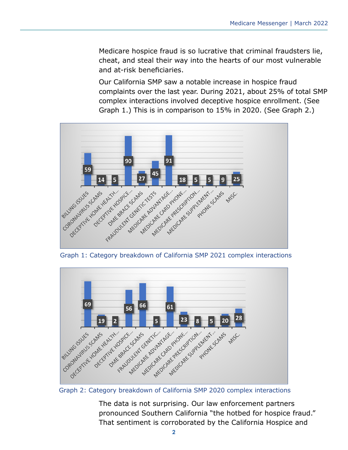Medicare hospice fraud is so lucrative that criminal fraudsters lie, cheat, and steal their way into the hearts of our most vulnerable and at-risk beneficiaries.

Our California SMP saw a notable increase in hospice fraud complaints over the last year. During 2021, about 25% of total SMP complex interactions involved deceptive hospice enrollment. (See Graph 1.) This is in comparison to 15% in 2020. (See Graph 2.)



Graph 1: Category breakdown of California SMP 2021 complex interactions



Graph 2: Category breakdown of California SMP 2020 complex interactions

The data is not surprising. Our law enforcement partners pronounced Southern California "the hotbed for hospice fraud." That sentiment is corroborated by the California Hospice and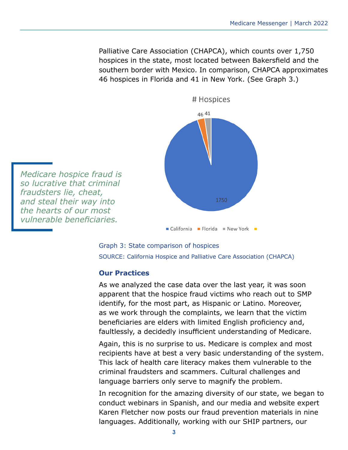Palliative Care Association (CHAPCA), which counts over 1,750 hospices in the state, most located between Bakersfield and the southern border with Mexico. In comparison, CHAPCA approximates 46 hospices in Florida and 41 in New York. (See Graph 3.)



*Medicare hospice fraud is so lucrative that criminal fraudsters lie, cheat, and steal their way into the hearts of our most vulnerable beneficiaries.*



### **Our Practices**

As we analyzed the case data over the last year, it was soon apparent that the hospice fraud victims who reach out to SMP identify, for the most part, as Hispanic or Latino. Moreover, as we work through the complaints, we learn that the victim beneficiaries are elders with limited English proficiency and, faultlessly, a decidedly insufficient understanding of Medicare.

Again, this is no surprise to us. Medicare is complex and most recipients have at best a very basic understanding of the system. This lack of health care literacy makes them vulnerable to the criminal fraudsters and scammers. Cultural challenges and language barriers only serve to magnify the problem.

In recognition for the amazing diversity of our state, we began to conduct webinars in Spanish, and our media and website expert Karen Fletcher now posts our fraud prevention materials in nine languages. Additionally, working with our SHIP partners, our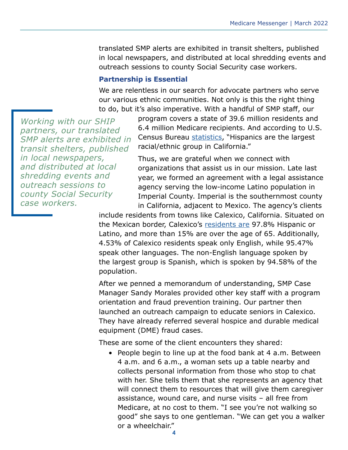translated SMP alerts are exhibited in transit shelters, published in local newspapers, and distributed at local shredding events and outreach sessions to county Social Security case workers.

#### **Partnership is Essential**

We are relentless in our search for advocate partners who serve our various ethnic communities. Not only is this the right thing to do, but it's also imperative. With a handful of SMP staff, our

*Working with our SHIP partners, our translated SMP alerts are exhibited in transit shelters, published in local newspapers, and distributed at local shredding events and outreach sessions to county Social Security case workers.*

program covers a state of 39.6 million residents and 6.4 million Medicare recipients. And according to U.S. Census Bureau [statistics,](https://www.census.gov/quickfacts/CA) "Hispanics are the largest racial/ethnic group in California."

Thus, we are grateful when we connect with organizations that assist us in our mission. Late last year, we formed an agreement with a legal assistance agency serving the low-income Latino population in Imperial County. Imperial is the southernmost county in California, adjacent to Mexico. The agency's clients

include residents from towns like Calexico, California. Situated on the Mexican border, Calexico's [residents are](https://worldpopulationreview.com/us-cities/calexico-ca-population) 97.8% Hispanic or Latino, and more than 15% are over the age of 65. Additionally, 4.53% of Calexico residents speak only English, while 95.47% speak other languages. The non-English language spoken by the largest group is Spanish, which is spoken by 94.58% of the population.

After we penned a memorandum of understanding, SMP Case Manager Sandy Morales provided other key staff with a program orientation and fraud prevention training. Our partner then launched an outreach campaign to educate seniors in Calexico. They have already referred several hospice and durable medical equipment (DME) fraud cases.

These are some of the client encounters they shared:

• People begin to line up at the food bank at 4 a.m. Between 4 a.m. and 6 a.m., a woman sets up a table nearby and collects personal information from those who stop to chat with her. She tells them that she represents an agency that will connect them to resources that will give them caregiver assistance, wound care, and nurse visits – all free from Medicare, at no cost to them. "I see you're not walking so good" she says to one gentleman. "We can get you a walker or a wheelchair."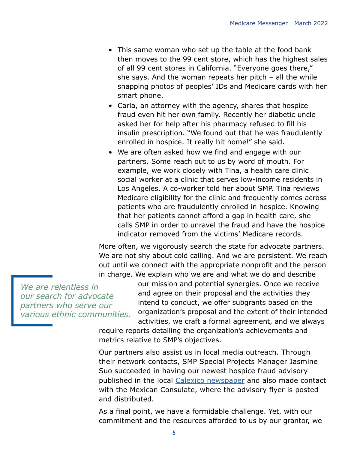- This same woman who set up the table at the food bank then moves to the 99 cent store, which has the highest sales of all 99 cent stores in California. "Everyone goes there," she says. And the woman repeats her pitch – all the while snapping photos of peoples' IDs and Medicare cards with her smart phone.
- Carla, an attorney with the agency, shares that hospice fraud even hit her own family. Recently her diabetic uncle asked her for help after his pharmacy refused to fill his insulin prescription. "We found out that he was fraudulently enrolled in hospice. It really hit home!" she said.
- We are often asked how we find and engage with our partners. Some reach out to us by word of mouth. For example, we work closely with Tina, a health care clinic social worker at a clinic that serves low-income residents in Los Angeles. A co-worker told her about SMP. Tina reviews Medicare eligibility for the clinic and frequently comes across patients who are fraudulently enrolled in hospice. Knowing that her patients cannot afford a gap in health care, she calls SMP in order to unravel the fraud and have the hospice indicator removed from the victims' Medicare records.

More often, we vigorously search the state for advocate partners. We are not shy about cold calling. And we are persistent. We reach out until we connect with the appropriate nonprofit and the person in charge. We explain who we are and what we do and describe

*We are relentless in our search for advocate partners who serve our various ethnic communities.* our mission and potential synergies. Once we receive and agree on their proposal and the activities they intend to conduct, we offer subgrants based on the organization's proposal and the extent of their intended activities, we craft a formal agreement, and we always

require reports detailing the organization's achievements and metrics relative to SMP's objectives.

Our partners also assist us in local media outreach. Through their network contacts, SMP Special Projects Manager Jasmine Suo succeeded in having our newest hospice fraud advisory published in the local [Calexico newspaper](https://www.facebook.com/elsoldelvalleimperial/photos/pcb.4828251333935262/4828245093935886) and also made contact with the Mexican Consulate, where the advisory flyer is posted and distributed.

As a final point, we have a formidable challenge. Yet, with our commitment and the resources afforded to us by our grantor, we